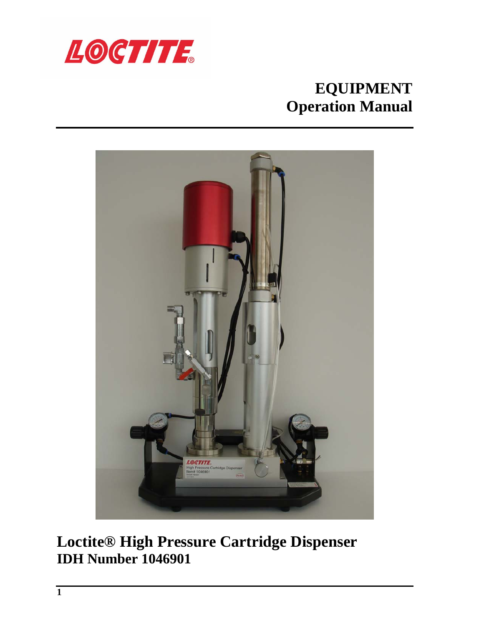

# **EQUIPMENT Operation Manual**



# **Loctite® High Pressure Cartridge Dispenser IDH Number 1046901**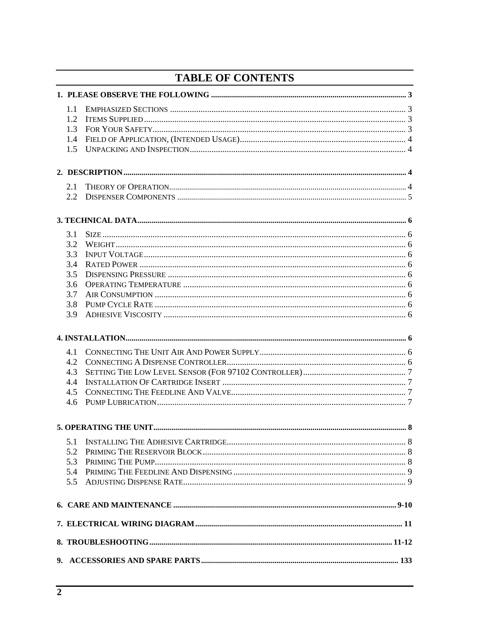# **TABLE OF CONTENTS**

| 1.1 |  |
|-----|--|
| 1.2 |  |
| 1.3 |  |
| 1.4 |  |
| 1.5 |  |
|     |  |
|     |  |
| 2.1 |  |
| 2.2 |  |
|     |  |
| 3.1 |  |
| 3.2 |  |
| 3.3 |  |
| 3.4 |  |
| 3.5 |  |
| 3.6 |  |
| 3.7 |  |
| 3.8 |  |
| 3.9 |  |
|     |  |
| 4.1 |  |
| 4.2 |  |
| 4.3 |  |
| 4.4 |  |
| 4.5 |  |
| 4.6 |  |
|     |  |
|     |  |
| 5.2 |  |
| 5.3 |  |
| 5.4 |  |
| 5.5 |  |
|     |  |
|     |  |
|     |  |
|     |  |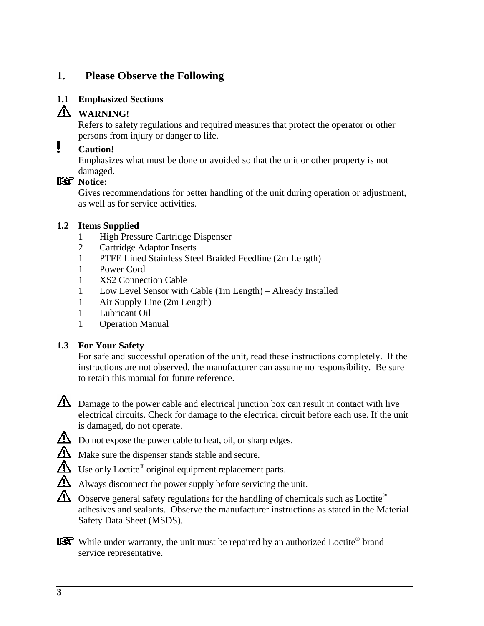# <span id="page-2-0"></span>**1. Please Observe the Following**

#### <span id="page-2-1"></span>**1.1 Emphasized Sections**

# **WARNING!**

Refers to safety regulations and required measures that protect the operator or other persons from injury or danger to life.

# **Caution!**

Emphasizes what must be done or avoided so that the unit or other property is not damaged.

## **R** Notice:

Gives recommendations for better handling of the unit during operation or adjustment, as well as for service activities.

#### <span id="page-2-2"></span>**1.2 Items Supplied**

- 1 High Pressure Cartridge Dispenser
- 2 Cartridge Adaptor Inserts
- 1 PTFE Lined Stainless Steel Braided Feedline (2m Length)
- 1 Power Cord
- 1 XS2 Connection Cable
- 1 Low Level Sensor with Cable (1m Length) Already Installed
- 1 Air Supply Line (2m Length)
- 1 Lubricant Oil
- 1 Operation Manual

### <span id="page-2-3"></span>**1.3 For Your Safety**

For safe and successful operation of the unit, read these instructions completely. If the instructions are not observed, the manufacturer can assume no responsibility. Be sure to retain this manual for future reference.



 $\Delta$  Damage to the power cable and electrical junction box can result in contact with live electrical circuits. Check for damage to the electrical circuit before each use. If the unit is damaged, do not operate.



- $\Delta$  Do not expose the power cable to heat, oil, or sharp edges.
- Make sure the dispenser stands stable and secure.
- $\Delta$  Use only Loctite<sup>®</sup> original equipment replacement parts.
- Always disconnect the power supply before servicing the unit.
- $\Delta$  Observe general safety regulations for the handling of chemicals such as Loctite<sup>®</sup> adhesives and sealants. Observe the manufacturer instructions as stated in the Material Safety Data Sheet (MSDS).

While under warranty, the unit must be repaired by an authorized Loctite<sup>®</sup> brand service representative.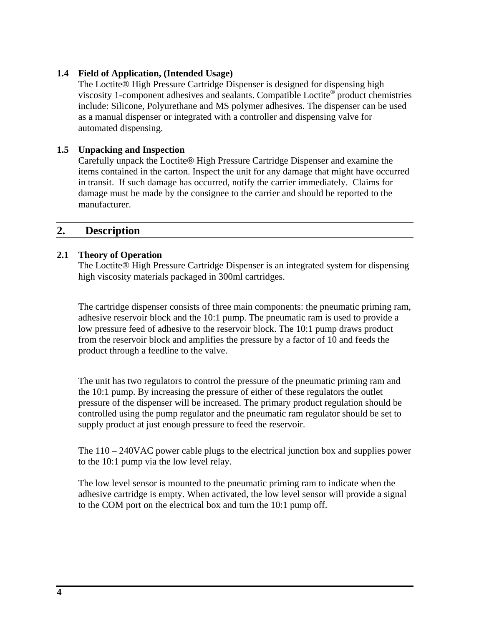#### <span id="page-3-0"></span>**1.4 Field of Application, (Intended Usage)**

The Loctite® High Pressure Cartridge Dispenser is designed for dispensing high viscosity 1-component adhesives and sealants. Compatible Loctite**®** product chemistries include: Silicone, Polyurethane and MS polymer adhesives. The dispenser can be used as a manual dispenser or integrated with a controller and dispensing valve for automated dispensing.

#### **1.5 Unpacking and Inspection**

Carefully unpack the Loctite® High Pressure Cartridge Dispenser and examine the items contained in the carton. Inspect the unit for any damage that might have occurred in transit. If such damage has occurred, notify the carrier immediately. Claims for damage must be made by the consignee to the carrier and should be reported to the manufacturer.

#### <span id="page-3-1"></span>**2. Description**

#### <span id="page-3-2"></span>**2.1 Theory of Operation**

The Loctite® High Pressure Cartridge Dispenser is an integrated system for dispensing high viscosity materials packaged in 300ml cartridges.

The cartridge dispenser consists of three main components: the pneumatic priming ram, adhesive reservoir block and the 10:1 pump. The pneumatic ram is used to provide a low pressure feed of adhesive to the reservoir block. The 10:1 pump draws product from the reservoir block and amplifies the pressure by a factor of 10 and feeds the product through a feedline to the valve.

The unit has two regulators to control the pressure of the pneumatic priming ram and the 10:1 pump. By increasing the pressure of either of these regulators the outlet pressure of the dispenser will be increased. The primary product regulation should be controlled using the pump regulator and the pneumatic ram regulator should be set to supply product at just enough pressure to feed the reservoir.

The 110 – 240VAC power cable plugs to the electrical junction box and supplies power to the 10:1 pump via the low level relay.

The low level sensor is mounted to the pneumatic priming ram to indicate when the adhesive cartridge is empty. When activated, the low level sensor will provide a signal to the COM port on the electrical box and turn the 10:1 pump off.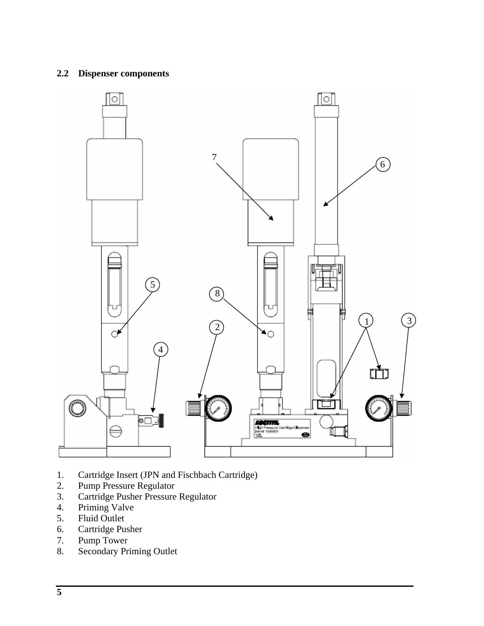#### **2.2 Dispenser components**



- 1. Cartridge Insert (JPN and Fischbach Cartridge)
- 2. Pump Pressure Regulator
- 3. Cartridge Pusher Pressure Regulator
- 4. Priming Valve
- 5. Fluid Outlet
- 6. Cartridge Pusher
- 7. Pump Tower
- 8. Secondary Priming Outlet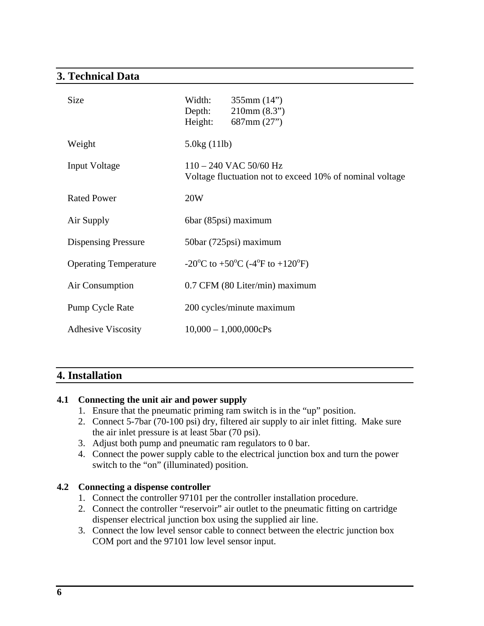## **3. Technical Data**

| <b>Size</b>                  | Width:<br>Depth:<br>Height: | 355mm(14")<br>210mm(8.3")<br>687mm(27")                                              |
|------------------------------|-----------------------------|--------------------------------------------------------------------------------------|
| Weight                       | 5.0kg(11lb)                 |                                                                                      |
| <b>Input Voltage</b>         |                             | $110 - 240$ VAC 50/60 Hz<br>Voltage fluctuation not to exceed 10% of nominal voltage |
| <b>Rated Power</b>           | 20W                         |                                                                                      |
| Air Supply                   |                             | 6bar (85psi) maximum                                                                 |
| <b>Dispensing Pressure</b>   |                             | 50bar (725psi) maximum                                                               |
| <b>Operating Temperature</b> |                             | -20 <sup>o</sup> C to +50 <sup>o</sup> C (-4 <sup>o</sup> F to +120 <sup>o</sup> F)  |
| Air Consumption              |                             | 0.7 CFM (80 Liter/min) maximum                                                       |
| Pump Cycle Rate              |                             | 200 cycles/minute maximum                                                            |
| <b>Adhesive Viscosity</b>    |                             | $10,000 - 1,000,000c$ Ps                                                             |

# **4. Installation**

### **4.1 Connecting the unit air and power supply**

- 1. Ensure that the pneumatic priming ram switch is in the "up" position.
- 2. Connect 5-7bar (70-100 psi) dry, filtered air supply to air inlet fitting. Make sure the air inlet pressure is at least 5bar (70 psi).
- 3. Adjust both pump and pneumatic ram regulators to 0 bar.
- 4. Connect the power supply cable to the electrical junction box and turn the power switch to the "on" (illuminated) position.

### **4.2 Connecting a dispense controller**

- 1. Connect the controller 97101 per the controller installation procedure.
- 2. Connect the controller "reservoir" air outlet to the pneumatic fitting on cartridge dispenser electrical junction box using the supplied air line.
- 3. Connect the low level sensor cable to connect between the electric junction box COM port and the 97101 low level sensor input.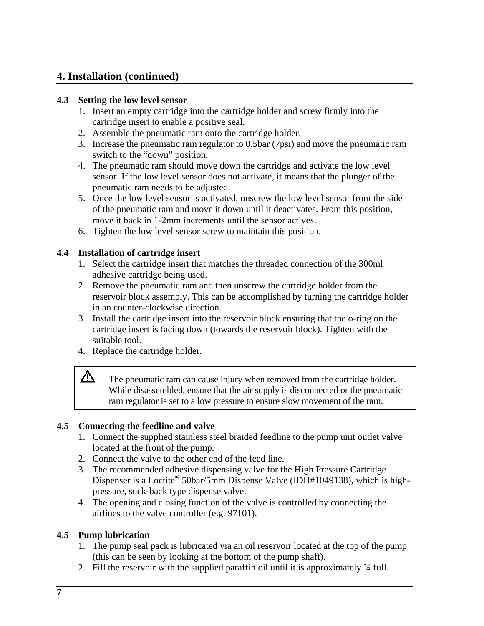## **4. Installation (continued)**

#### **4.3 Setting the low level sensor**

- 1. Insert an empty cartridge into the cartridge holder and screw firmly into the cartridge insert to enable a positive seal.
- 2. Assemble the pneumatic ram onto the cartridge holder.
- 3. Increase the pneumatic ram regulator to 0.5bar (7psi) and move the pneumatic ram switch to the "down" position.
- 4. The pneumatic ram should move down the cartridge and activate the low level sensor. If the low level sensor does not activate, it means that the plunger of the pneumatic ram needs to be adjusted.
- 5. Once the low level sensor is activated, unscrew the low level sensor from the side of the pneumatic ram and move it down until it deactivates. From this position, move it back in 1-2mm increments until the sensor actives.
- 6. Tighten the low level sensor screw to maintain this position.

### **4.4 Installation of cartridge insert**

- 1. Select the cartridge insert that matches the threaded connection of the 300ml adhesive cartridge being used.
- 2. Remove the pneumatic ram and then unscrew the cartridge holder from the reservoir block assembly. This can be accomplished by turning the cartridge holder in an counter-clockwise direction.
- 3. Install the cartridge insert into the reservoir block ensuring that the o-ring on the cartridge insert is facing down (towards the reservoir block). Tighten with the suitable tool.
- 4. Replace the cartridge holder.

The pneumatic ram can cause injury when removed from the cartridge holder. While disassembled, ensure that the air supply is disconnected or the pneumatic ram regulator is set to a low pressure to ensure slow movement of the ram.

### **4.5 Connecting the feedline and valve**

- 1. Connect the supplied stainless steel braided feedline to the pump unit outlet valve located at the front of the pump.
- 2. Connect the valve to the other end of the feed line.
- 3. The recommended adhesive dispensing valve for the High Pressure Cartridge Dispenser is a Loctite**®** 50bar/5mm Dispense Valve (IDH#1049138), which is highpressure, suck-back type dispense valve.
- 4. The opening and closing function of the valve is controlled by connecting the airlines to the valve controller (e.g. 97101).

### **4.5 Pump lubrication**

 $\Delta$ 

- 1. The pump seal pack is lubricated via an oil reservoir located at the top of the pump (this can be seen by looking at the bottom of the pump shaft).
- 2. Fill the reservoir with the supplied paraffin oil until it is approximately ¾ full.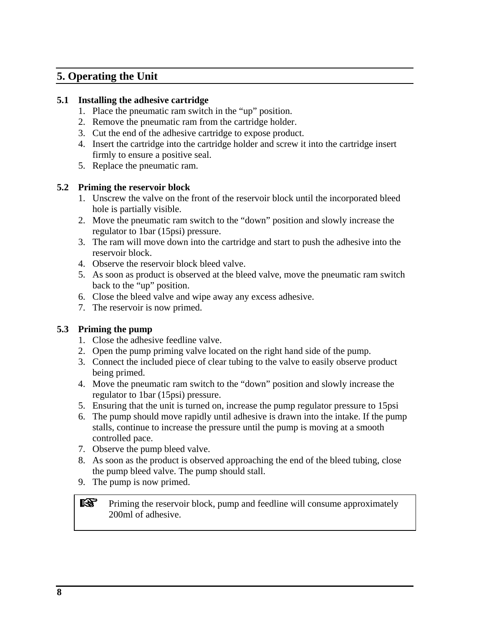# **5. Operating the Unit**

#### **5.1 Installing the adhesive cartridge**

- 1. Place the pneumatic ram switch in the "up" position.
- 2. Remove the pneumatic ram from the cartridge holder.
- 3. Cut the end of the adhesive cartridge to expose product.
- 4. Insert the cartridge into the cartridge holder and screw it into the cartridge insert firmly to ensure a positive seal.
- 5. Replace the pneumatic ram.

#### **5.2 Priming the reservoir block**

- 1. Unscrew the valve on the front of the reservoir block until the incorporated bleed hole is partially visible.
- 2. Move the pneumatic ram switch to the "down" position and slowly increase the regulator to 1bar (15psi) pressure.
- 3. The ram will move down into the cartridge and start to push the adhesive into the reservoir block.
- 4. Observe the reservoir block bleed valve.
- 5. As soon as product is observed at the bleed valve, move the pneumatic ram switch back to the "up" position.
- 6. Close the bleed valve and wipe away any excess adhesive.
- 7. The reservoir is now primed.

#### **5.3 Priming the pump**

- 1. Close the adhesive feedline valve.
- 2. Open the pump priming valve located on the right hand side of the pump.
- 3. Connect the included piece of clear tubing to the valve to easily observe product being primed.
- 4. Move the pneumatic ram switch to the "down" position and slowly increase the regulator to 1bar (15psi) pressure.
- 5. Ensuring that the unit is turned on, increase the pump regulator pressure to 15psi
- 6. The pump should move rapidly until adhesive is drawn into the intake. If the pump stalls, continue to increase the pressure until the pump is moving at a smooth controlled pace.
- 7. Observe the pump bleed valve.
- 8. As soon as the product is observed approaching the end of the bleed tubing, close the pump bleed valve. The pump should stall.
- 9. The pump is now primed.

liss i Priming the reservoir block, pump and feedline will consume approximately 200ml of adhesive.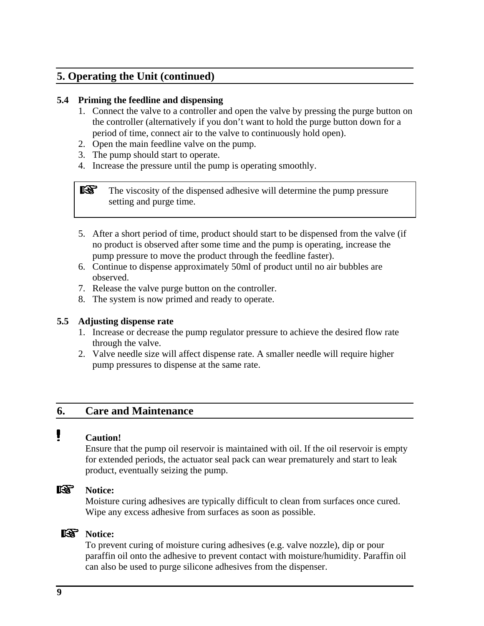### **5. Operating the Unit (continued)**

#### **5.4 Priming the feedline and dispensing**

- 1. Connect the valve to a controller and open the valve by pressing the purge button on the controller (alternatively if you don't want to hold the purge button down for a period of time, connect air to the valve to continuously hold open).
- 2. Open the main feedline valve on the pump.
- 3. The pump should start to operate.
- 4. Increase the pressure until the pump is operating smoothly.

咚 The viscosity of the dispensed adhesive will determine the pump pressure setting and purge time.

- 5. After a short period of time, product should start to be dispensed from the valve (if no product is observed after some time and the pump is operating, increase the pump pressure to move the product through the feedline faster).
- 6. Continue to dispense approximately 50ml of product until no air bubbles are observed.
- 7. Release the valve purge button on the controller.
- 8. The system is now primed and ready to operate.

#### **5.5 Adjusting dispense rate**

- 1. Increase or decrease the pump regulator pressure to achieve the desired flow rate through the valve.
- 2. Valve needle size will affect dispense rate. A smaller needle will require higher pump pressures to dispense at the same rate.

### <span id="page-8-0"></span>**6. Care and Maintenance**

# **Caution!**

Ensure that the pump oil reservoir is maintained with oil. If the oil reservoir is empty for extended periods, the actuator seal pack can wear prematurely and start to leak product, eventually seizing the pump.

### **Notice:**

Moisture curing adhesives are typically difficult to clean from surfaces once cured. Wipe any excess adhesive from surfaces as soon as possible.

### **Notice:**

To prevent curing of moisture curing adhesives (e.g. valve nozzle), dip or pour paraffin oil onto the adhesive to prevent contact with moisture/humidity. Paraffin oil can also be used to purge silicone adhesives from the dispenser.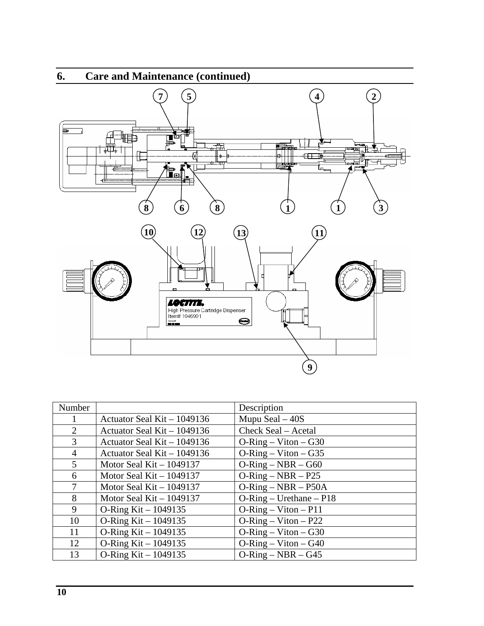

| Number         |                              | Description             |
|----------------|------------------------------|-------------------------|
|                | Actuator Seal Kit $-1049136$ | Mupu Seal $-40S$        |
| 2              | Actuator Seal Kit – 1049136  | Check Seal – Acetal     |
| 3              | Actuator Seal Kit – 1049136  | $O-Ring - Viton - G30$  |
| $\overline{4}$ | Actuator Seal Kit $-1049136$ | $O-Ring - Viton - G35$  |
| 5              | Motor Seal Kit $-1049137$    | $O-Ring-NBR - G60$      |
| 6              | Motor Seal Kit $-1049137$    | $O-Ring - NBR - P25$    |
| 7              | Motor Seal Kit $-1049137$    | $O-Ring-NBR - P50A$     |
| 8              | Motor Seal Kit $-1049137$    | $O-Ring-Urethane - P18$ |
| 9              | O-Ring Kit $-1049135$        | $O-Ring - Viton - P11$  |
| 10             | O-Ring Kit $-1049135$        | $O-Ring - Viton - P22$  |
| 11             | O-Ring Kit $-1049135$        | $O-Ring - Viton - G30$  |
| 12             | O-Ring Kit $- 1049135$       | $O-Ring - Viton - G40$  |
| 13             | O-Ring Kit $-1049135$        | $O-Ring-NBR - G45$      |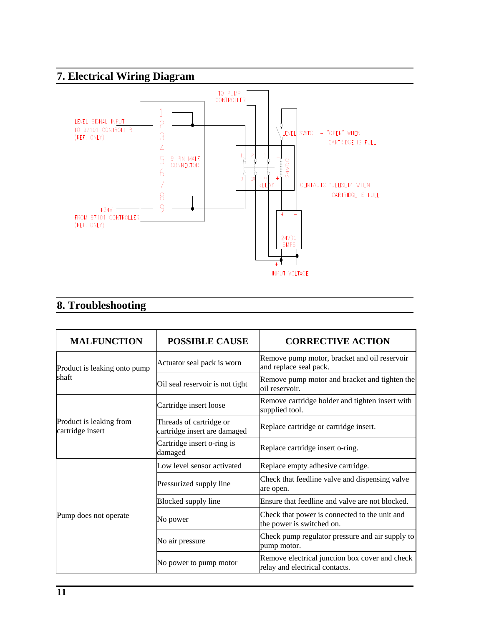# **7. Electrical Wiring Diagram**



# **8. Troubleshooting**

| <b>MALFUNCTION</b>                                                        | <b>POSSIBLE CAUSE</b>                                                                              | <b>CORRECTIVE ACTION</b>                                                         |
|---------------------------------------------------------------------------|----------------------------------------------------------------------------------------------------|----------------------------------------------------------------------------------|
| Product is leaking onto pump                                              | Actuator seal pack is worn                                                                         | Remove pump motor, bracket and oil reservoir<br>and replace seal pack.           |
| shaft                                                                     | Remove pump motor and bracket and tighten the<br>Oil seal reservoir is not tight<br>oil reservoir. |                                                                                  |
|                                                                           | Cartridge insert loose                                                                             | Remove cartridge holder and tighten insert with<br>supplied tool.                |
| Product is leaking from<br>cartridge insert                               | Threads of cartridge or<br>cartridge insert are damaged                                            | Replace cartridge or cartridge insert.                                           |
| Cartridge insert o-ring is<br>Replace cartridge insert o-ring.<br>damaged |                                                                                                    |                                                                                  |
|                                                                           | Low level sensor activated                                                                         | Replace empty adhesive cartridge.                                                |
|                                                                           | Pressurized supply line                                                                            | Check that feedline valve and dispensing valve<br>are open.                      |
|                                                                           | Blocked supply line                                                                                | Ensure that feedline and valve are not blocked.                                  |
| Pump does not operate                                                     | No power                                                                                           | Check that power is connected to the unit and<br>the power is switched on.       |
|                                                                           | No air pressure                                                                                    | Check pump regulator pressure and air supply to<br>pump motor.                   |
|                                                                           | No power to pump motor                                                                             | Remove electrical junction box cover and check<br>relay and electrical contacts. |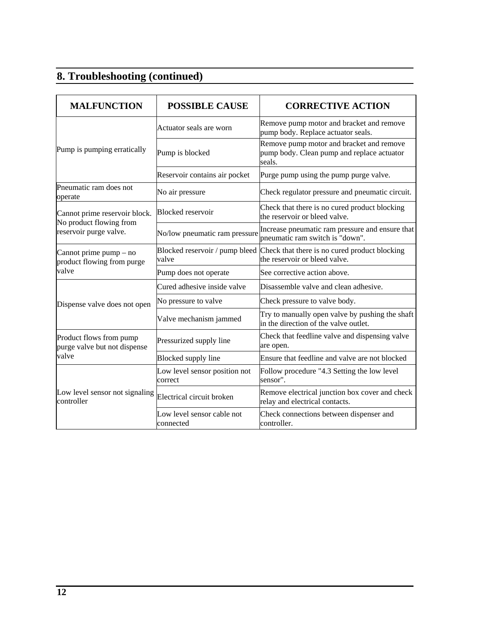# **8. Troubleshooting (continued)**

| <b>MALFUNCTION</b>                                       | <b>POSSIBLE CAUSE</b>                    | <b>CORRECTIVE ACTION</b>                                                                         |
|----------------------------------------------------------|------------------------------------------|--------------------------------------------------------------------------------------------------|
|                                                          |                                          | Remove pump motor and bracket and remove                                                         |
|                                                          | Actuator seals are worn                  | pump body. Replace actuator seals.                                                               |
| Pump is pumping erratically                              | Pump is blocked                          | Remove pump motor and bracket and remove<br>pump body. Clean pump and replace actuator<br>seals. |
|                                                          | Reservoir contains air pocket            | Purge pump using the pump purge valve.                                                           |
| Pneumatic ram does not<br>operate                        | No air pressure                          | Check regulator pressure and pneumatic circuit.                                                  |
| Cannot prime reservoir block.<br>No product flowing from | <b>Blocked</b> reservoir                 | Check that there is no cured product blocking<br>the reservoir or bleed valve.                   |
| reservoir purge valve.                                   | No/low pneumatic ram pressure            | Increase pneumatic ram pressure and ensure that<br>pneumatic ram switch is "down".               |
| Cannot prime $pump - no$<br>product flowing from purge   | Blocked reservoir / pump bleed<br>valve  | Check that there is no cured product blocking<br>the reservoir or bleed valve.                   |
| valve                                                    | Pump does not operate                    | See corrective action above.                                                                     |
|                                                          | Cured adhesive inside valve              | Disassemble valve and clean adhesive.                                                            |
| Dispense valve does not open                             | No pressure to valve                     | Check pressure to valve body.                                                                    |
|                                                          | Valve mechanism jammed                   | Try to manually open valve by pushing the shaft<br>in the direction of the valve outlet.         |
| Product flows from pump<br>purge valve but not dispense  | Pressurized supply line                  | Check that feedline valve and dispensing valve<br>are open.                                      |
| valve                                                    | Blocked supply line                      | Ensure that feedline and valve are not blocked                                                   |
|                                                          | Low level sensor position not<br>correct | Follow procedure "4.3 Setting the low level<br>sensor".                                          |
| Low level sensor not signaling<br>controller             | Electrical circuit broken                | Remove electrical junction box cover and check<br>relay and electrical contacts.                 |
|                                                          | Low level sensor cable not<br>connected  | Check connections between dispenser and<br>controller.                                           |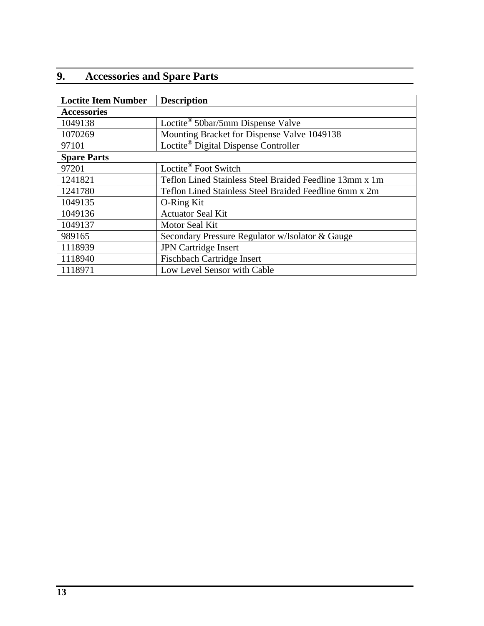# <span id="page-12-0"></span>**9. Accessories and Spare Parts**

| <b>Loctite Item Number</b> | <b>Description</b>                                      |  |
|----------------------------|---------------------------------------------------------|--|
| <b>Accessories</b>         |                                                         |  |
| 1049138                    | Loctite <sup>®</sup> 50bar/5mm Dispense Valve           |  |
| 1070269                    | Mounting Bracket for Dispense Valve 1049138             |  |
| 97101                      | Loctite <sup>®</sup> Digital Dispense Controller        |  |
| <b>Spare Parts</b>         |                                                         |  |
| 97201                      | Loctite <sup>®</sup> Foot Switch                        |  |
| 1241821                    | Teflon Lined Stainless Steel Braided Feedline 13mm x 1m |  |
| 1241780                    | Teflon Lined Stainless Steel Braided Feedline 6mm x 2m  |  |
| 1049135                    | O-Ring Kit                                              |  |
| 1049136                    | <b>Actuator Seal Kit</b>                                |  |
| 1049137                    | Motor Seal Kit                                          |  |
| 989165                     | Secondary Pressure Regulator w/Isolator & Gauge         |  |
| 1118939                    | <b>JPN</b> Cartridge Insert                             |  |
| 1118940                    | <b>Fischbach Cartridge Insert</b>                       |  |
| 1118971                    | Low Level Sensor with Cable                             |  |